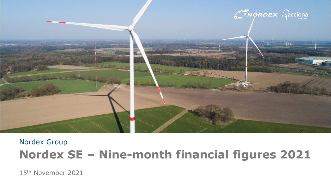

# Nordex Group **Nordex SE – Nine-month financial figures 2021**

15th November 2021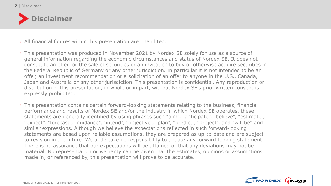#### | **2** Disclaimer



### › All financial figures within this presentation are unaudited.

- › This presentation was produced in November 2021 by Nordex SE solely for use as a source of general information regarding the economic circumstances and status of Nordex SE. It does not constitute an offer for the sale of securities or an invitation to buy or otherwise acquire securities in the Federal Republic of Germany or any other jurisdiction. In particular it is not intended to be an offer, an investment recommendation or a solicitation of an offer to anyone in the U.S., Canada, Japan and Australia or any other jurisdiction. This presentation is confidential. Any reproduction or distribution of this presentation, in whole or in part, without Nordex SE's prior written consent is expressly prohibited.
- › This presentation contains certain forward-looking statements relating to the business, financial performance and results of Nordex SE and/or the industry in which Nordex SE operates, these statements are generally identified by using phrases such "aim", "anticipate", "believe", "estimate", "expect", "forecast", "guidance", "intend", "objective", "plan", "predict", "project", and "will be" and similar expressions. Although we believe the expectations reflected in such forward-looking statements are based upon reliable assumptions, they are prepared as up-to-date and are subject to revision in the future. We undertake no responsibility to update any forward-looking statement. There is no assurance that our expectations will be attained or that any deviations may not be material. No representation or warranty can be given that the estimates, opinions or assumptions made in, or referenced by, this presentation will prove to be accurate.

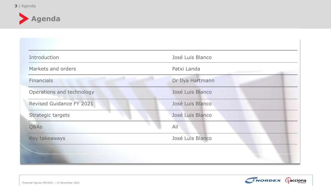

| Introduction              | José Luis Blanco |
|---------------------------|------------------|
| Markets and orders        | Patxi Landa      |
| <b>Financials</b>         | Dr Ilya Hartmann |
| Operations and technology | José Luis Blanco |
| Revised Guidance FY 2021  | José Luis Blanco |
| Strategic targets         | José Luis Blanco |
| Q&As                      | All              |
| Key takeaways             | José Luis Blanco |

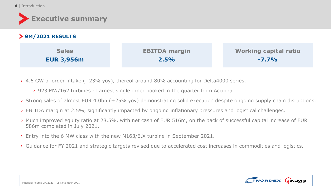**4** | Introduction

## **Executive summary 9M/2021 RESULTS Sales EUR 3,956m EBITDA margin 2.5% Working capital ratio -7.7%**

› 4.6 GW of order intake (+23% yoy), thereof around 80% accounting for Delta4000 series.

- › 923 MW/162 turbines Largest single order booked in the quarter from Acciona.
- › Strong sales of almost EUR 4.0bn (+25% yoy) demonstrating solid execution despite ongoing supply chain disruptions.
- › EBITDA margin at 2.5%, significantly impacted by ongoing inflationary pressures and logistical challenges.
- › Much improved equity ratio at 28.5%, with net cash of EUR 516m, on the back of successful capital increase of EUR 586m completed in July 2021.
- › Entry into the 6 MW class with the new N163/6.X turbine in September 2021.
- › Guidance for FY 2021 and strategic targets revised due to accelerated cost increases in commodities and logistics.

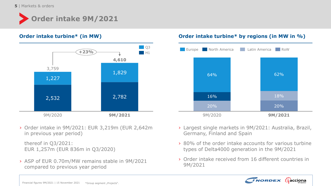**5** | Markets & orders

# **Order intake 9M/2021**



› Order intake in 9M/2021: EUR 3,219m (EUR 2,642m in previous year period)

thereof in Q3/2021: EUR 1,257m (EUR 836m in Q3/2020)

› ASP of EUR 0.70m/MW remains stable in 9M/2021 compared to previous year period

## **Order intake turbine\* (in MW) Order intake turbine\* by regions (in MW in %)**



- › Largest single markets in 9M/2021: Australia, Brazil, Germany, Finland and Spain
- › 80% of the order intake accounts for various turbine types of Delta4000 generation in the 9M/2021
- › Order intake received from 16 different countries in 9M/2021

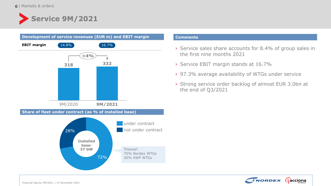



#### **Comments**

- › Service sales share accounts for 8.4% of group sales in the first nine months 2021
- › Service EBIT margin stands at 16.7%
- › 97.3% average availability of WTGs under service
- › Strong service order backlog of almost EUR 3.0bn at the end of Q3/2021

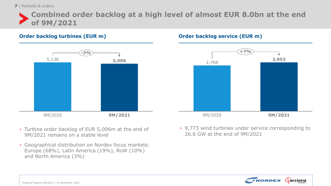**7** | Markets & orders

**Combined order backlog at a high level of almost EUR 8.0bn at the end of 9M/2021**

### **Order backlog turbines (EUR m) Order backlog service (EUR m)**





- › Turbine order backlog of EUR 5,006m at the end of 9M/2021 remains on a stable level
- › Geographical distribution on Nordex focus markets: Europe (68%), Latin America (19%), RoW (10%) and North America (3%)

› 9,773 wind turbines under service corresponding to 26.6 GW at the end of 9M/2021

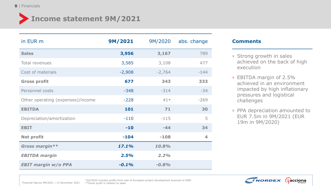## **Income statement 9M/2021**

| in EUR m                          | 9M/2021  | 9M/2020  | abs. change |
|-----------------------------------|----------|----------|-------------|
| <b>Sales</b>                      | 3,956    | 3,167    | 789         |
| Total revenues                    | 3,585    | 3,108    | 477         |
| Cost of materials                 | $-2,908$ | $-2,764$ | $-144$      |
| <b>Gross profit</b>               | 677      | 343      | 333         |
| Personnel costs                   | $-348$   | $-314$   | $-34$       |
| Other operating (expenses)/income | $-228$   | $41*$    | $-269$      |
| <b>EBITDA</b>                     | 101      | 71       | 30          |
| Depreciation/amortization         | $-110$   | $-115$   | 5           |
| <b>EBIT</b>                       | $-10$    | $-44$    | 34          |
| <b>Net profit</b>                 | $-104$   | $-108$   | 4           |
| Gross margin**                    | 17.1%    | 10.8%    |             |
| <b>EBITDA</b> margin              | 2.5%     | 2.2%     |             |
| <b>EBIT margin w/o PPA</b>        | $-0.1%$  | $-0.8%$  |             |

### **Comments**

- › Strong growth in sales achieved on the back of high execution
- › EBITDA margin of 2.5% achieved in an environment impacted by high inflationary pressures and logistical challenges
- › PPA depreciation amounted to EUR 7.5m in 9M/2021 (EUR 19m in 9M/2020)



Financial figures 9M/2021 | 15 November 2021

\*Q3/2020 includes profits from sale of European project development business to RWE. \*\*Gross profit in relation to sales.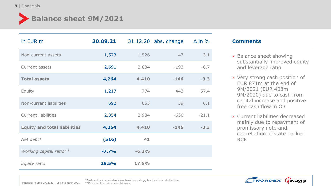## **Balance sheet 9M/2021**

| in EUR m                            | 30.09.21 |         | 31.12.20 abs. change | $\Delta$ in % |
|-------------------------------------|----------|---------|----------------------|---------------|
| Non-current assets                  | 1,573    | 1,526   | 47                   | 3.1           |
| Current assets                      | 2,691    | 2,884   | $-193$               | $-6.7$        |
| <b>Total assets</b>                 | 4,264    | 4,410   | $-146$               | $-3.3$        |
| Equity                              | 1,217    | 774     | 443                  | 57.4          |
| Non-current liabilities             | 692      | 653     | 39                   | 6.1           |
| <b>Current liabilities</b>          | 2,354    | 2,984   | $-630$               | $-21.1$       |
| <b>Equity and total liabilities</b> | 4,264    | 4,410   | $-146$               | $-3.3$        |
| Net debt $*$                        | (516)    | 41      |                      |               |
| Working capital ratio**             | $-7.7%$  | $-6.3%$ |                      |               |
| Equity ratio                        | 28.5%    | 17.5%   |                      |               |

### **Comments**

- › Balance sheet showing substantially improved equity and leverage ratio
- › Very strong cash position of EUR 871m at the end of 9M/2021 (EUR 408m 9M/2020) due to cash from capital increase and positive free cash flow in Q3
- › Current liabilities decreased mainly due to repayment of promissory note and cancellation of state backed RCF



Financial figures 9M/2021 | 15 November 2021

\*Cash and cash equivalents less bank borrowings, bond and shareholder loan. \*\*Based on last twelve months sales.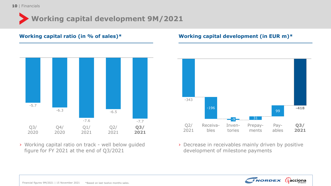## **Working capital development 9M/2021**



› Working capital ratio on track - well below guided figure for FY 2021 at the end of Q3/2021

## **Working capital ratio (in % of sales)\* Working capital development (in EUR m)\***



› Decrease in receivables mainly driven by positive development of milestone payments

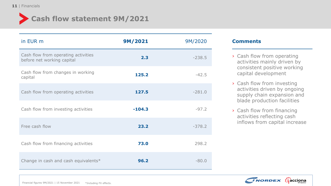

## **Cash flow statement 9M/2021**

| in EUR m                                                          | 9M/2021  | 9M/2020  |
|-------------------------------------------------------------------|----------|----------|
| Cash flow from operating activities<br>before net working capital | 2.3      | $-238.5$ |
| Cash flow from changes in working<br>capital                      | 125.2    | $-42.5$  |
| Cash flow from operating activities                               | 127.5    | $-281.0$ |
| Cash flow from investing activities                               | $-104.3$ | $-97.2$  |
| Free cash flow                                                    | 23.2     | $-378.2$ |
| Cash flow from financing activities                               | 73.0     | 298.2    |
| Change in cash and cash equivalents*                              | 96.2     | $-80.0$  |

### **Comments**

- › Cash flow from operating activities mainly driven by consistent positive working capital development
- › Cash flow from investing activities driven by ongoing supply chain expansion and blade production facilities
- › Cash flow from financing activities reflecting cash inflows from capital increase



Financial figures 9M/2021 | 15 November 2021 \*Including FX effects.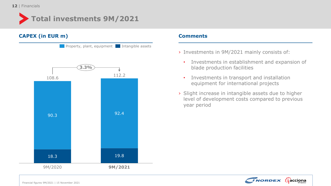# **Total investments 9M/2021**

# **CAPEX (in EUR m) Comments** 19.8 9M/2020 **9M/2021** 108.6 112.2 90.3 18.3 92.4 **3.3% Property, plant, equipment** Intangible assets

- › Investments in 9M/2021 mainly consists of:
	- Investments in establishment and expansion of blade production facilities
	- Investments in transport and installation equipment for international projects
- › Slight increase in intangible assets due to higher level of development costs compared to previous year period

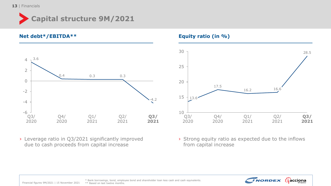# **Capital structure 9M/2021**

**Net debt\*/EBITDA\*\* Equity ratio (in %)**



› Leverage ratio in Q3/2021 significantly improved due to cash proceeds from capital increase



› Strong equity ratio as expected due to the inflows from capital increase



\* Bank borrowings, bond, employee bond and shareholder loan less cash and cash equivalents. \*\* Based on last twelve months.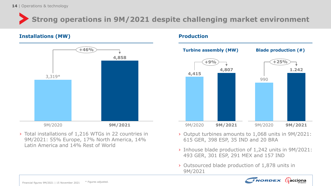**Strong operations in 9M/2021 despite challenging market environment** 

## **Installations (MW) Production**



› Total installations of 1,216 WTGs in 22 countries in 9M/2021: 55% Europe, 17% North America, 14% Latin America and 14% Rest of World



- › Output turbines amounts to 1,068 units in 9M/2021: 615 GER, 398 ESP, 35 IND and 20 BRA
- › Inhouse blade production of 1,242 units in 9M/2021: 493 GER, 301 ESP, 291 MEX and 157 IND
- › Outsourced blade production of 1,878 units in 9M/2021

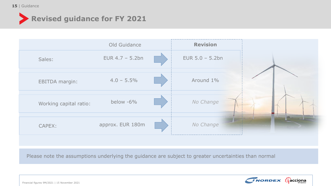

|                        | Old Guidance       | <b>Revision</b>    |  |
|------------------------|--------------------|--------------------|--|
| Sales:                 | EUR $4.7 - 5.2$ bn | EUR $5.0 - 5.2$ bn |  |
| <b>EBITDA</b> margin:  | $4.0 - 5.5\%$      | Around 1%          |  |
| Working capital ratio: | below -6%          | No Change          |  |
| CAPEX:                 | approx. EUR 180m   | No Change          |  |

Please note the assumptions underlying the guidance are subject to greater uncertainties than normal

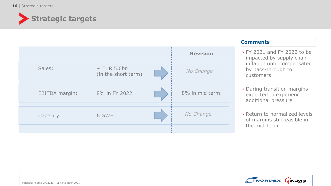

|                       |                                         | <b>Revision</b> |
|-----------------------|-----------------------------------------|-----------------|
| Sales:                | $\sim$ EUR 5.0bn<br>(in the short term) | No Change       |
| <b>EBITDA</b> margin: | 8% in FY 2022                           | 8% in mid term  |
| Capacity:             | $6$ GW+                                 | No Change       |
|                       |                                         |                 |

### **Comments**

- › FY 2021 and FY 2022 to be impacted by supply chain inflation until compensated by pass-through to customers
- › During transition margins expected to experience additional pressure
- › Return to normalized levels of margins still feasible in the mid-term

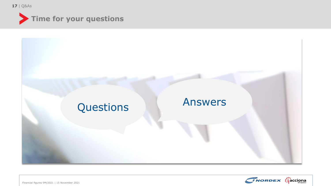| **17** Q&As





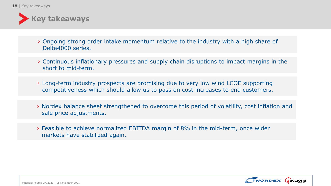

- › Ongoing strong order intake momentum relative to the industry with a high share of Delta4000 series.
- › Continuous inflationary pressures and supply chain disruptions to impact margins in the short to mid-term.
- › Long-term industry prospects are promising due to very low wind LCOE supporting competitiveness which should allow us to pass on cost increases to end customers.
- › Nordex balance sheet strengthened to overcome this period of volatility, cost inflation and sale price adjustments.
- › Feasible to achieve normalized EBITDA margin of 8% in the mid-term, once wider markets have stabilized again.

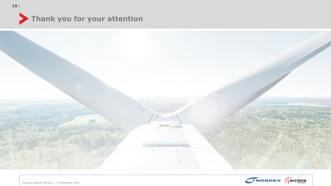